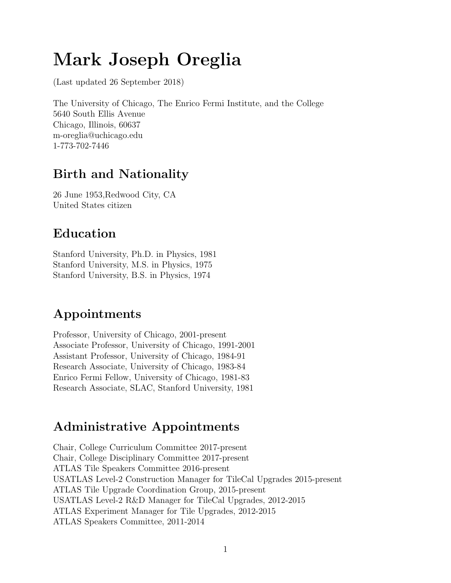# Mark Joseph Oreglia

(Last updated 26 September 2018)

The University of Chicago, The Enrico Fermi Institute, and the College 5640 South Ellis Avenue Chicago, Illinois, 60637 m-oreglia@uchicago.edu 1-773-702-7446

### Birth and Nationality

26 June 1953,Redwood City, CA United States citizen

## Education

Stanford University, Ph.D. in Physics, 1981 Stanford University, M.S. in Physics, 1975 Stanford University, B.S. in Physics, 1974

## Appointments

Professor, University of Chicago, 2001-present Associate Professor, University of Chicago, 1991-2001 Assistant Professor, University of Chicago, 1984-91 Research Associate, University of Chicago, 1983-84 Enrico Fermi Fellow, University of Chicago, 1981-83 Research Associate, SLAC, Stanford University, 1981

### Administrative Appointments

Chair, College Curriculum Committee 2017-present Chair, College Disciplinary Committee 2017-present ATLAS Tile Speakers Committee 2016-present USATLAS Level-2 Construction Manager for TileCal Upgrades 2015-present ATLAS Tile Upgrade Coordination Group, 2015-present USATLAS Level-2 R&D Manager for TileCal Upgrades, 2012-2015 ATLAS Experiment Manager for Tile Upgrades, 2012-2015 ATLAS Speakers Committee, 2011-2014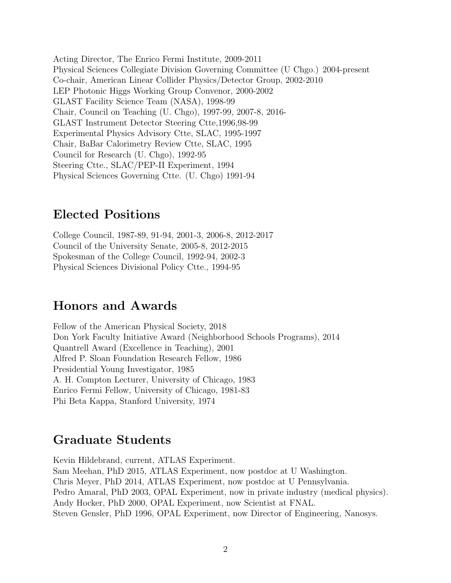Acting Director, The Enrico Fermi Institute, 2009-2011 Physical Sciences Collegiate Division Governing Committee (U Chgo.) 2004-present Co-chair, American Linear Collider Physics/Detector Group, 2002-2010 LEP Photonic Higgs Working Group Convenor, 2000-2002 GLAST Facility Science Team (NASA), 1998-99 Chair, Council on Teaching (U. Chgo), 1997-99, 2007-8, 2016- GLAST Instrument Detector Steering Ctte,1996,98-99 Experimental Physics Advisory Ctte, SLAC, 1995-1997 Chair, BaBar Calorimetry Review Ctte, SLAC, 1995 Council for Research (U. Chgo), 1992-95 Steering Ctte., SLAC/PEP-II Experiment, 1994 Physical Sciences Governing Ctte. (U. Chgo) 1991-94

#### Elected Positions

College Council, 1987-89, 91-94, 2001-3, 2006-8, 2012-2017 Council of the University Senate, 2005-8, 2012-2015 Spokesman of the College Council, 1992-94, 2002-3 Physical Sciences Divisional Policy Ctte., 1994-95

#### Honors and Awards

Fellow of the American Physical Society, 2018 Don York Faculty Initiative Award (Neighborhood Schools Programs), 2014 Quantrell Award (Excellence in Teaching), 2001 Alfred P. Sloan Foundation Research Fellow, 1986 Presidential Young Investigator, 1985 A. H. Compton Lecturer, University of Chicago, 1983 Enrico Fermi Fellow, University of Chicago, 1981-83 Phi Beta Kappa, Stanford University, 1974

#### Graduate Students

Kevin Hildebrand, current, ATLAS Experiment. Sam Meehan, PhD 2015, ATLAS Experiment, now postdoc at U Washington. Chris Meyer, PhD 2014, ATLAS Experiment, now postdoc at U Pennsylvania. Pedro Amaral, PhD 2003, OPAL Experiment, now in private industry (medical physics). Andy Hocker, PhD 2000, OPAL Experiment, now Scientist at FNAL. Steven Gensler, PhD 1996, OPAL Experiment, now Director of Engineering, Nanosys.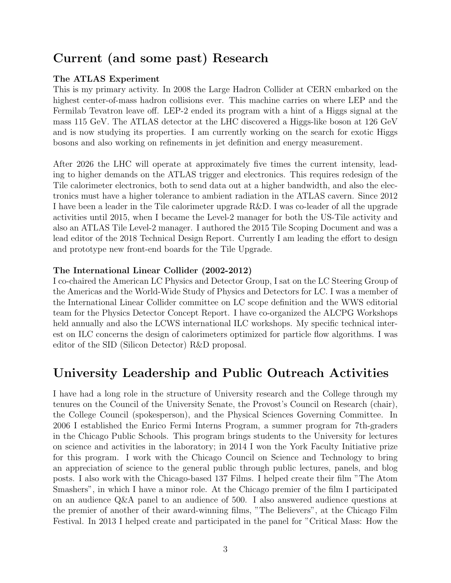### Current (and some past) Research

#### The ATLAS Experiment

This is my primary activity. In 2008 the Large Hadron Collider at CERN embarked on the highest center-of-mass hadron collisions ever. This machine carries on where LEP and the Fermilab Tevatron leave off. LEP-2 ended its program with a hint of a Higgs signal at the mass 115 GeV. The ATLAS detector at the LHC discovered a Higgs-like boson at 126 GeV and is now studying its properties. I am currently working on the search for exotic Higgs bosons and also working on refinements in jet definition and energy measurement.

After 2026 the LHC will operate at approximately five times the current intensity, leading to higher demands on the ATLAS trigger and electronics. This requires redesign of the Tile calorimeter electronics, both to send data out at a higher bandwidth, and also the electronics must have a higher tolerance to ambient radiation in the ATLAS cavern. Since 2012 I have been a leader in the Tile calorimeter upgrade R&D. I was co-leader of all the upgrade activities until 2015, when I became the Level-2 manager for both the US-Tile activity and also an ATLAS Tile Level-2 manager. I authored the 2015 Tile Scoping Document and was a lead editor of the 2018 Technical Design Report. Currently I am leading the effort to design and prototype new front-end boards for the Tile Upgrade.

#### The International Linear Collider (2002-2012)

I co-chaired the American LC Physics and Detector Group, I sat on the LC Steering Group of the Americas and the World-Wide Study of Physics and Detectors for LC. I was a member of the International Linear Collider committee on LC scope definition and the WWS editorial team for the Physics Detector Concept Report. I have co-organized the ALCPG Workshops held annually and also the LCWS international ILC workshops. My specific technical interest on ILC concerns the design of calorimeters optimized for particle flow algorithms. I was editor of the SID (Silicon Detector) R&D proposal.

### University Leadership and Public Outreach Activities

I have had a long role in the structure of University research and the College through my tenures on the Council of the University Senate, the Provost's Council on Research (chair), the College Council (spokesperson), and the Physical Sciences Governing Committee. In 2006 I established the Enrico Fermi Interns Program, a summer program for 7th-graders in the Chicago Public Schools. This program brings students to the University for lectures on science and activities in the laboratory; in 2014 I won the York Faculty Initiative prize for this program. I work with the Chicago Council on Science and Technology to bring an appreciation of science to the general public through public lectures, panels, and blog posts. I also work with the Chicago-based 137 Films. I helped create their film "The Atom Smashers", in which I have a minor role. At the Chicago premier of the film I participated on an audience Q&A panel to an audience of 500. I also answered audience questions at the premier of another of their award-winning films, "The Believers", at the Chicago Film Festival. In 2013 I helped create and participated in the panel for "Critical Mass: How the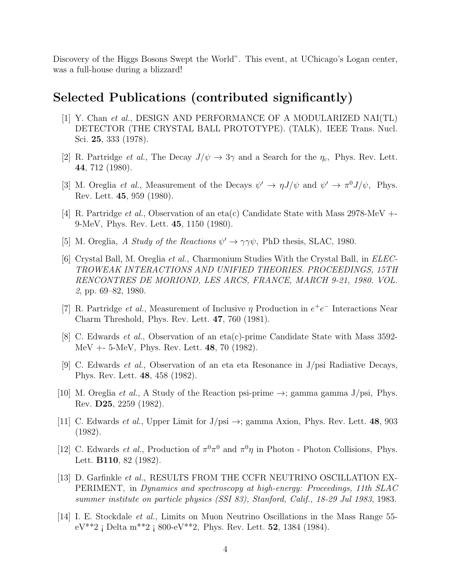Discovery of the Higgs Bosons Swept the World". This event, at UChicago's Logan center, was a full-house during a blizzard!

### Selected Publications (contributed significantly)

- [1] Y. Chan et al., DESIGN AND PERFORMANCE OF A MODULARIZED NAI(TL) DETECTOR (THE CRYSTAL BALL PROTOTYPE). (TALK), IEEE Trans. Nucl. Sci. 25, 333 (1978).
- [2] R. Partridge *et al.*, The Decay  $J/\psi \rightarrow 3\gamma$  and a Search for the  $\eta_c$ , Phys. Rev. Lett. 44, 712 (1980).
- [3] M. Oreglia *et al.*, Measurement of the Decays  $\psi' \to \eta J/\psi$  and  $\psi' \to \pi^0 J/\psi$ , Phys. Rev. Lett. 45, 959 (1980).
- [4] R. Partridge *et al.*, Observation of an eta(c) Candidate State with Mass 2978-MeV  $+$ 9-MeV, Phys. Rev. Lett. 45, 1150 (1980).
- [5] M. Oreglia, A Study of the Reactions  $\psi' \rightarrow \gamma \gamma \psi$ , PhD thesis, SLAC, 1980.
- [6] Crystal Ball, M. Oreglia et al., Charmonium Studies With the Crystal Ball, in ELEC-TROWEAK INTERACTIONS AND UNIFIED THEORIES. PROCEEDINGS, 15TH RENCONTRES DE MORIOND, LES ARCS, FRANCE, MARCH 9-21, 1980. VOL. 2, pp. 69–82, 1980.
- [7] R. Partridge *et al.*, Measurement of Inclusive  $\eta$  Production in  $e^+e^-$  Interactions Near Charm Threshold, Phys. Rev. Lett. 47, 760 (1981).
- [8] C. Edwards et al., Observation of an eta(c)-prime Candidate State with Mass 3592- MeV +- 5-MeV, Phys. Rev. Lett. 48, 70 (1982).
- [9] C. Edwards et al., Observation of an eta eta Resonance in J/psi Radiative Decays, Phys. Rev. Lett. 48, 458 (1982).
- [10] M. Oreglia *et al.*, A Study of the Reaction psi-prime  $\rightarrow$ ; gamma gamma J/psi, Phys. Rev. D25, 2259 (1982).
- [11] C. Edwards *et al.*, Upper Limit for  $J/\text{psi} \rightarrow$ ; gamma Axion, Phys. Rev. Lett. **48**, 903 (1982).
- [12] C. Edwards *et al.*, Production of  $\pi^0 \pi^0$  and  $\pi^0 \eta$  in Photon Photon Collisions, Phys. Lett. B110, 82 (1982).
- [13] D. Garfinkle et al., RESULTS FROM THE CCFR NEUTRINO OSCILLATION EX-PERIMENT, in Dynamics and spectroscopy at high-energy: Proceedings, 11th SLAC summer institute on particle physics (SSI 83), Stanford, Calif., 18-29 Jul 1983, 1983.
- [14] I. E. Stockdale et al., Limits on Muon Neutrino Oscillations in the Mass Range 55  $eV^{**}2$  ; Delta m<sup>\*\*</sup>2 ; 800-e $V^{**}2$ , Phys. Rev. Lett. **52**, 1384 (1984).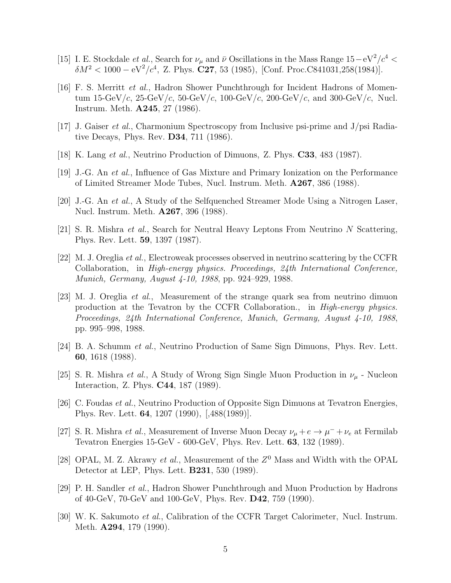- [15] I. E. Stockdale *et al.*, Search for  $\nu_{\mu}$  and  $\bar{\nu}$  Oscillations in the Mass Range 15 eV<sup>2</sup>/ $c^4$  <  $\delta M^2 < 1000 - eV^2/c^4$ , Z. Phys. **C27**, 53 (1985), [Conf. Proc.C841031,258(1984)].
- [16] F. S. Merritt et al., Hadron Shower Punchthrough for Incident Hadrons of Momentum  $15\text{-GeV}/c$ ,  $25\text{-GeV}/c$ ,  $50\text{-GeV}/c$ ,  $100\text{-GeV}/c$ ,  $200\text{-GeV}/c$ , and  $300\text{-GeV}/c$ , Nucl. Instrum. Meth. A245, 27 (1986).
- [17] J. Gaiser et al., Charmonium Spectroscopy from Inclusive psi-prime and J/psi Radiative Decays, Phys. Rev. D34, 711 (1986).
- [18] K. Lang et al., Neutrino Production of Dimuons, Z. Phys. C33, 483 (1987).
- [19] J.-G. An et al., Influence of Gas Mixture and Primary Ionization on the Performance of Limited Streamer Mode Tubes, Nucl. Instrum. Meth. A267, 386 (1988).
- [20] J.-G. An et al., A Study of the Selfquenched Streamer Mode Using a Nitrogen Laser, Nucl. Instrum. Meth. A267, 396 (1988).
- [21] S. R. Mishra et al., Search for Neutral Heavy Leptons From Neutrino N Scattering, Phys. Rev. Lett. 59, 1397 (1987).
- [22] M. J. Oreglia et al., Electroweak processes observed in neutrino scattering by the CCFR Collaboration, in High-energy physics. Proceedings, 24th International Conference, Munich, Germany, August 4-10, 1988, pp. 924–929, 1988.
- [23] M. J. Oreglia et al., Measurement of the strange quark sea from neutrino dimuon production at the Tevatron by the CCFR Collaboration., in High-energy physics. Proceedings, 24th International Conference, Munich, Germany, August 4-10, 1988, pp. 995–998, 1988.
- [24] B. A. Schumm et al., Neutrino Production of Same Sign Dimuons, Phys. Rev. Lett. 60, 1618 (1988).
- [25] S. R. Mishra *et al.*, A Study of Wrong Sign Single Muon Production in  $\nu_\mu$  Nucleon Interaction, Z. Phys. C44, 187 (1989).
- [26] C. Foudas et al., Neutrino Production of Opposite Sign Dimuons at Tevatron Energies, Phys. Rev. Lett. 64, 1207 (1990), [,488(1989)].
- [27] S. R. Mishra *et al.*, Measurement of Inverse Muon Decay  $\nu_{\mu} + e \rightarrow \mu^{-} + \nu_{e}$  at Fermilab Tevatron Energies 15-GeV - 600-GeV, Phys. Rev. Lett. 63, 132 (1989).
- [28] OPAL, M. Z. Akrawy et al., Measurement of the  $Z<sup>0</sup>$  Mass and Width with the OPAL Detector at LEP, Phys. Lett. B231, 530 (1989).
- [29] P. H. Sandler et al., Hadron Shower Punchthrough and Muon Production by Hadrons of 40-GeV, 70-GeV and 100-GeV, Phys. Rev. D42, 759 (1990).
- [30] W. K. Sakumoto et al., Calibration of the CCFR Target Calorimeter, Nucl. Instrum. Meth. **A294**, 179 (1990).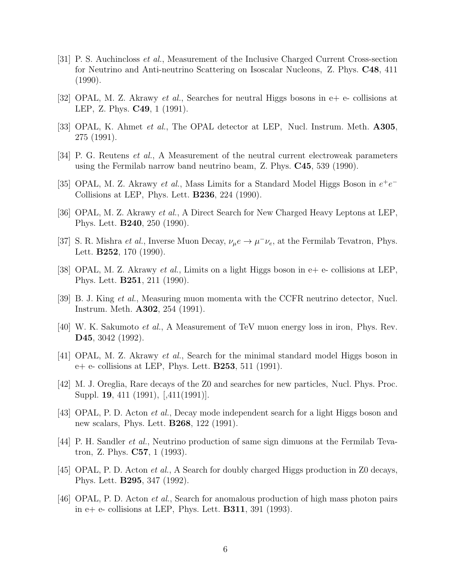- [31] P. S. Auchincloss et al., Measurement of the Inclusive Charged Current Cross-section for Neutrino and Anti-neutrino Scattering on Isoscalar Nucleons, Z. Phys. C48, 411 (1990).
- [32] OPAL, M. Z. Akrawy *et al.*, Searches for neutral Higgs bosons in  $e+e-$  collisions at LEP, Z. Phys. C49, 1 (1991).
- [33] OPAL, K. Ahmet *et al.*, The OPAL detector at LEP, Nucl. Instrum. Meth. **A305**, 275 (1991).
- [34] P. G. Reutens et al., A Measurement of the neutral current electroweak parameters using the Fermilab narrow band neutrino beam, Z. Phys. C45, 539 (1990).
- [35] OPAL, M. Z. Akrawy et al., Mass Limits for a Standard Model Higgs Boson in  $e^+e^-$ Collisions at LEP, Phys. Lett. B236, 224 (1990).
- [36] OPAL, M. Z. Akrawy et al., A Direct Search for New Charged Heavy Leptons at LEP, Phys. Lett. B240, 250 (1990).
- [37] S. R. Mishra *et al.*, Inverse Muon Decay,  $\nu_{\mu}e \rightarrow \mu^{-}\nu_{e}$ , at the Fermilab Tevatron, Phys. Lett. B252, 170 (1990).
- [38] OPAL, M. Z. Akrawy *et al.*, Limits on a light Higgs boson in  $e+e$  collisions at LEP, Phys. Lett. B251, 211 (1990).
- [39] B. J. King et al., Measuring muon momenta with the CCFR neutrino detector, Nucl. Instrum. Meth. A302, 254 (1991).
- [40] W. K. Sakumoto et al., A Measurement of TeV muon energy loss in iron, Phys. Rev. D45, 3042 (1992).
- [41] OPAL, M. Z. Akrawy et al., Search for the minimal standard model Higgs boson in  $e+ e-$  collisions at LEP, Phys. Lett. **B253**, 511 (1991).
- [42] M. J. Oreglia, Rare decays of the Z0 and searches for new particles, Nucl. Phys. Proc. Suppl. 19, 411 (1991), [,411(1991)].
- [43] OPAL, P. D. Acton et al., Decay mode independent search for a light Higgs boson and new scalars, Phys. Lett. B268, 122 (1991).
- [44] P. H. Sandler et al., Neutrino production of same sign dimuons at the Fermilab Tevatron, Z. Phys. C57, 1 (1993).
- [45] OPAL, P. D. Acton *et al.*, A Search for doubly charged Higgs production in Z0 decays, Phys. Lett. B295, 347 (1992).
- [46] OPAL, P. D. Acton et al., Search for anomalous production of high mass photon pairs in  $e+e-$  collisions at LEP, Phys. Lett. **B311**, 391 (1993).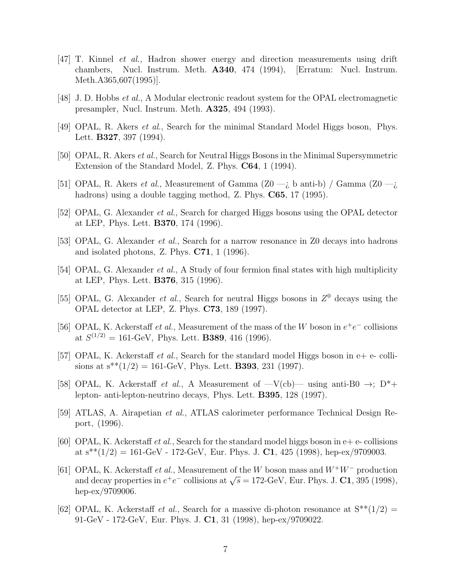- [47] T. Kinnel et al., Hadron shower energy and direction measurements using drift chambers, Nucl. Instrum. Meth. A340, 474 (1994), [Erratum: Nucl. Instrum. Meth.A365,607(1995)].
- [48] J. D. Hobbs et al., A Modular electronic readout system for the OPAL electromagnetic presampler, Nucl. Instrum. Meth. A325, 494 (1993).
- [49] OPAL, R. Akers et al., Search for the minimal Standard Model Higgs boson, Phys. Lett. B327, 397 (1994).
- [50] OPAL, R. Akers et al., Search for Neutral Higgs Bosons in the Minimal Supersymmetric Extension of the Standard Model, Z. Phys. C64, 1 (1994).
- [51] OPAL, R. Akers *et al.*, Measurement of Gamma  $(Z0 i)$  b anti-b) Gamma  $(Z0 i)$ hadrons) using a double tagging method, Z. Phys. C65, 17 (1995).
- [52] OPAL, G. Alexander *et al.*, Search for charged Higgs bosons using the OPAL detector at LEP, Phys. Lett. B370, 174 (1996).
- [53] OPAL, G. Alexander *et al.*, Search for a narrow resonance in Z0 decays into hadrons and isolated photons, Z. Phys. C71, 1 (1996).
- [54] OPAL, G. Alexander *et al.*, A Study of four fermion final states with high multiplicity at LEP, Phys. Lett. B376, 315 (1996).
- [55] OPAL, G. Alexander *et al.*, Search for neutral Higgs bosons in  $Z^0$  decays using the OPAL detector at LEP, Z. Phys. C73, 189 (1997).
- [56] OPAL, K. Ackerstaff et al., Measurement of the mass of the W boson in  $e^+e^-$  collisions at  $S^{(1/2)} = 161$ -GeV, Phys. Lett. **B389**, 416 (1996).
- [57] OPAL, K. Ackerstaff et al., Search for the standard model Higgs boson in  $e+e-$  collisions at  $s^{**}(1/2) = 161$ -GeV, Phys. Lett. **B393**, 231 (1997).
- [58] OPAL, K. Ackerstaff et al., A Measurement of  $-V$ (cb) using anti-B0  $\rightarrow$ ; D<sup>\*</sup>+ lepton- anti-lepton-neutrino decays, Phys. Lett. B395, 128 (1997).
- [59] ATLAS, A. Airapetian et al., ATLAS calorimeter performance Technical Design Report, (1996).
- [60] OPAL, K. Ackerstaff et al., Search for the standard model higgs boson in  $e+e-$  collisions at  $s^{**}(1/2) = 161$ -GeV - 172-GeV, Eur. Phys. J. C1, 425 (1998), hep-ex/9709003.
- [61] OPAL, K. Ackerstaff et al., Measurement of the W boson mass and W<sup>+</sup>W<sup>−</sup> production Of AL, K. Ackerstan *et al.*, weasurement of the W boson mass and  $W^+W^-$  production<br>and decay properties in  $e^+e^-$  collisions at  $\sqrt{s} = 172$ -GeV, Eur. Phys. J. C1, 395 (1998), hep-ex/9709006.
- [62] OPAL, K. Ackerstaff *et al.*, Search for a massive di-photon resonance at  $S^{**}(1/2)$  = 91-GeV - 172-GeV, Eur. Phys. J. C1, 31 (1998), hep-ex/9709022.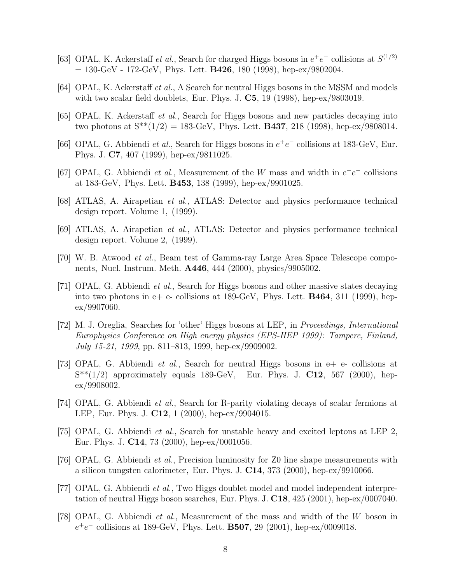- [63] OPAL, K. Ackerstaff et al., Search for charged Higgs bosons in  $e^+e^-$  collisions at  $S^{(1/2)}$  $= 130$ -GeV - 172-GeV, Phys. Lett. **B426**, 180 (1998), hep-ex/9802004.
- [64] OPAL, K. Ackerstaff et al., A Search for neutral Higgs bosons in the MSSM and models with two scalar field doublets, Eur. Phys. J.  $C5$ , 19 (1998), hep-ex/9803019.
- [65] OPAL, K. Ackerstaff et al., Search for Higgs bosons and new particles decaying into two photons at  $S^{**}(1/2) = 183$ -GeV, Phys. Lett. **B437**, 218 (1998), hep-ex/9808014.
- [66] OPAL, G. Abbiendi et al., Search for Higgs bosons in  $e^+e^-$  collisions at 183-GeV, Eur. Phys. J. C7, 407 (1999), hep-ex/9811025.
- [67] OPAL, G. Abbiendi et al., Measurement of the W mass and width in  $e^+e^-$  collisions at 183-GeV, Phys. Lett. B453, 138 (1999), hep-ex/9901025.
- [68] ATLAS, A. Airapetian et al., ATLAS: Detector and physics performance technical design report. Volume 1, (1999).
- [69] ATLAS, A. Airapetian et al., ATLAS: Detector and physics performance technical design report. Volume 2, (1999).
- [70] W. B. Atwood et al., Beam test of Gamma-ray Large Area Space Telescope components, Nucl. Instrum. Meth. A446, 444 (2000), physics/9905002.
- [71] OPAL, G. Abbiendi et al., Search for Higgs bosons and other massive states decaying into two photons in  $e+e-$  collisions at 189-GeV, Phys. Lett. **B464**, 311 (1999), hep $ex/9907060.$
- [72] M. J. Oreglia, Searches for 'other' Higgs bosons at LEP, in Proceedings, International Europhysics Conference on High energy physics (EPS-HEP 1999): Tampere, Finland, July 15-21, 1999, pp. 811–813, 1999, hep-ex/9909002.
- [73] OPAL, G. Abbiendi et al., Search for neutral Higgs bosons in e+ e- collisions at  $S^{**}(1/2)$  approximately equals 189-GeV, Eur. Phys. J. C12, 567 (2000), hepex/9908002.
- [74] OPAL, G. Abbiendi et al., Search for R-parity violating decays of scalar fermions at LEP, Eur. Phys. J. C12, 1 (2000), hep-ex/9904015.
- [75] OPAL, G. Abbiendi et al., Search for unstable heavy and excited leptons at LEP 2, Eur. Phys. J. C14, 73 (2000), hep-ex/0001056.
- [76] OPAL, G. Abbiendi *et al.*, Precision luminosity for Z0 line shape measurements with a silicon tungsten calorimeter, Eur. Phys. J.  $C14$ , 373 (2000), hep-ex/9910066.
- [77] OPAL, G. Abbiendi et al., Two Higgs doublet model and model independent interpretation of neutral Higgs boson searches, Eur. Phys. J. C18, 425 (2001), hep-ex/0007040.
- [78] OPAL, G. Abbiendi et al., Measurement of the mass and width of the W boson in  $e^+e^-$  collisions at 189-GeV, Phys. Lett. **B507**, 29 (2001), hep-ex/0009018.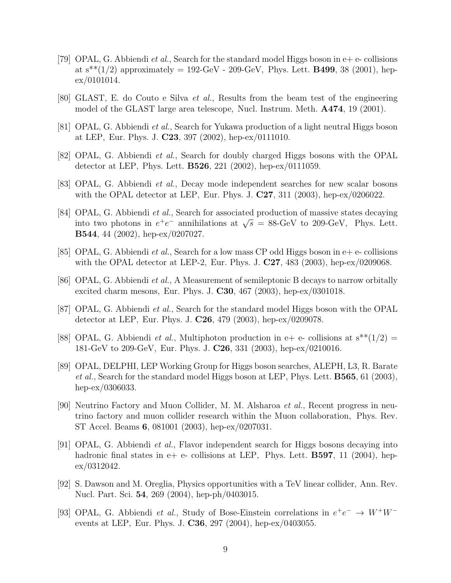- [79] OPAL, G. Abbiendi *et al.*, Search for the standard model Higgs boson in  $e+e$  collisions at  $s^{**}(1/2)$  approximately = 192-GeV - 209-GeV, Phys. Lett. **B499**, 38 (2001), hepex/0101014.
- [80] GLAST, E. do Couto e Silva et al., Results from the beam test of the engineering model of the GLAST large area telescope, Nucl. Instrum. Meth. A474, 19 (2001).
- [81] OPAL, G. Abbiendi et al., Search for Yukawa production of a light neutral Higgs boson at LEP, Eur. Phys. J.  $C23$ , 397 (2002), hep-ex/0111010.
- [82] OPAL, G. Abbiendi et al., Search for doubly charged Higgs bosons with the OPAL detector at LEP, Phys. Lett. B526, 221 (2002), hep-ex/0111059.
- [83] OPAL, G. Abbiendi et al., Decay mode independent searches for new scalar bosons with the OPAL detector at LEP, Eur. Phys. J.  $C27$ , 311 (2003), hep-ex/0206022.
- [84] OPAL, G. Abbiendi *et al.*, Search for associated production of massive states decaying Of AL, G. Abbientle *t al.*, bearen for associated production of massive states decaying into two photons in  $e^+e^-$  annihilations at  $\sqrt{s}$  = 88-GeV to 209-GeV, Phys. Lett. B544, 44 (2002), hep-ex/0207027.
- [85] OPAL, G. Abbiendi *et al.*, Search for a low mass CP odd Higgs boson in  $e+e$  collisions with the OPAL detector at LEP-2, Eur. Phys. J. C27, 483 (2003), hep-ex/0209068.
- [86] OPAL, G. Abbiendi et al., A Measurement of semileptonic B decays to narrow orbitally excited charm mesons, Eur. Phys. J. C30, 467 (2003), hep-ex/0301018.
- [87] OPAL, G. Abbiendi *et al.*, Search for the standard model Higgs boson with the OPAL detector at LEP, Eur. Phys. J. C26, 479 (2003), hep-ex/0209078.
- [88] OPAL, G. Abbiendi *et al.*, Multiphoton production in e+ e- collisions at  $s^{**}(1/2)$  = 181-GeV to 209-GeV, Eur. Phys. J. C26, 331 (2003), hep-ex/0210016.
- [89] OPAL, DELPHI, LEP Working Group for Higgs boson searches, ALEPH, L3, R. Barate *et al.*, Search for the standard model Higgs boson at LEP, Phys. Lett.  $\bf{B565}$ , 61 (2003), hep-ex/0306033.
- [90] Neutrino Factory and Muon Collider, M. M. Alsharoa et al., Recent progress in neutrino factory and muon collider research within the Muon collaboration, Phys. Rev. ST Accel. Beams 6, 081001 (2003), hep-ex/0207031.
- [91] OPAL, G. Abbiendi et al., Flavor independent search for Higgs bosons decaying into hadronic final states in  $e+e-$  collisions at LEP, Phys. Lett. **B597**, 11 (2004), hepex/0312042.
- [92] S. Dawson and M. Oreglia, Physics opportunities with a TeV linear collider, Ann. Rev. Nucl. Part. Sci. 54, 269 (2004), hep-ph/0403015.
- [93] OPAL, G. Abbiendi et al., Study of Bose-Einstein correlations in  $e^+e^- \rightarrow W^+W^$ events at LEP, Eur. Phys. J. C36, 297 (2004), hep-ex/0403055.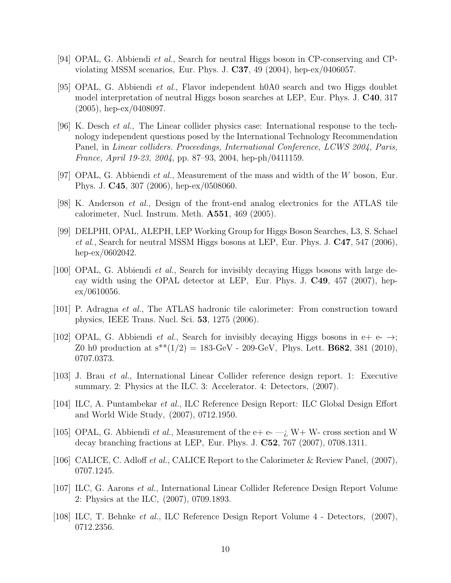- [94] OPAL, G. Abbiendi *et al.*, Search for neutral Higgs boson in CP-conserving and CPviolating MSSM scenarios, Eur. Phys. J.  $C37$ , 49 (2004), hep-ex/0406057.
- [95] OPAL, G. Abbiendi et al., Flavor independent h0A0 search and two Higgs doublet model interpretation of neutral Higgs boson searches at LEP, Eur. Phys. J. C40, 317 (2005), hep-ex/0408097.
- [96] K. Desch et al., The Linear collider physics case: International response to the technology independent questions posed by the International Technology Recommendation Panel, in Linear colliders. Proceedings, International Conference, LCWS 2004, Paris, France, April 19-23, 2004, pp. 87–93, 2004, hep-ph/0411159.
- [97] OPAL, G. Abbiendi *et al.*, Measurement of the mass and width of the W boson, Eur. Phys. J. C45, 307 (2006), hep-ex/0508060.
- $[98]$  K. Anderson *et al.*, Design of the front-end analog electronics for the ATLAS tile calorimeter, Nucl. Instrum. Meth. A551, 469 (2005).
- [99] DELPHI, OPAL, ALEPH, LEP Working Group for Higgs Boson Searches, L3, S. Schael et al., Search for neutral MSSM Higgs bosons at LEP, Eur. Phys. J. C47, 547 (2006), hep-ex/0602042.
- [100] OPAL, G. Abbiendi et al., Search for invisibly decaying Higgs bosons with large decay width using the OPAL detector at LEP, Eur. Phys. J. C49, 457 (2007), hep $ex/0610056.$
- [101] P. Adragna et al., The ATLAS hadronic tile calorimeter: From construction toward physics, IEEE Trans. Nucl. Sci. 53, 1275 (2006).
- [102] OPAL, G. Abbiendi *et al.*, Search for invisibly decaying Higgs bosons in  $e^+ e^- \rightarrow$ ; Z0 h0 production at  $s^{**}(1/2) = 183$ -GeV - 209-GeV, Phys. Lett. **B682**, 381 (2010), 0707.0373.
- [103] J. Brau et al., International Linear Collider reference design report. 1: Executive summary. 2: Physics at the ILC. 3: Accelerator. 4: Detectors,  $(2007)$ .
- [104] ILC, A. Puntambekar et al., ILC Reference Design Report: ILC Global Design Effort and World Wide Study, (2007), 0712.1950.
- [105] OPAL, G. Abbiendi *et al.*, Measurement of the e+ e- $-i$ , W+ W- cross section and W decay branching fractions at LEP, Eur. Phys. J. C52, 767 (2007), 0708.1311.
- [106] CALICE, C. Adloff et al., CALICE Report to the Calorimeter & Review Panel, (2007), 0707.1245.
- [107] ILC, G. Aarons et al., International Linear Collider Reference Design Report Volume 2: Physics at the ILC, (2007), 0709.1893.
- [108] ILC, T. Behnke et al., ILC Reference Design Report Volume 4 Detectors, (2007), 0712.2356.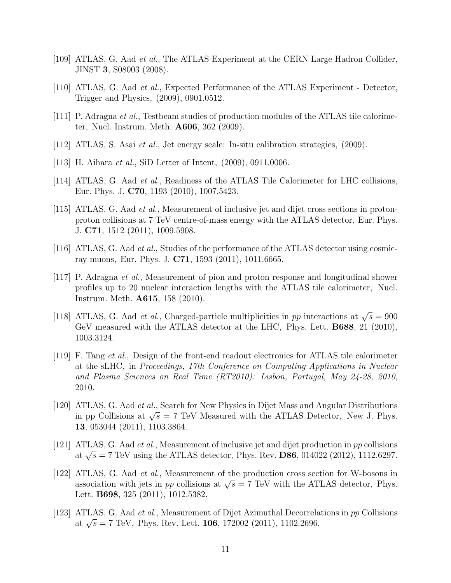- [109] ATLAS, G. Aad et al., The ATLAS Experiment at the CERN Large Hadron Collider, JINST 3, S08003 (2008).
- [110] ATLAS, G. Aad et al., Expected Performance of the ATLAS Experiment Detector, Trigger and Physics, (2009), 0901.0512.
- [111] P. Adragna et al., Testbeam studies of production modules of the ATLAS tile calorimeter, Nucl. Instrum. Meth. A606, 362 (2009).
- [112] ATLAS, S. Asai et al., Jet energy scale: In-situ calibration strategies, (2009).
- [113] H. Aihara *et al.*, SiD Letter of Intent, (2009), 0911.0006.
- [114] ATLAS, G. Aad et al., Readiness of the ATLAS Tile Calorimeter for LHC collisions, Eur. Phys. J. C70, 1193 (2010), 1007.5423.
- [115] ATLAS, G. Aad et al., Measurement of inclusive jet and dijet cross sections in protonproton collisions at 7 TeV centre-of-mass energy with the ATLAS detector, Eur. Phys. J. C71, 1512 (2011), 1009.5908.
- [116] ATLAS, G. Aad et al., Studies of the performance of the ATLAS detector using cosmicray muons, Eur. Phys. J. C71, 1593 (2011), 1011.6665.
- [117] P. Adragna et al., Measurement of pion and proton response and longitudinal shower profiles up to 20 nuclear interaction lengths with the ATLAS tile calorimeter, Nucl. Instrum. Meth. A615, 158 (2010).
- [118] ATLAS, G. Aad *et al.*, Charged-particle multiplicities in pp interactions at  $\sqrt{s} = 900$ GeV measured with the ATLAS detector at the LHC, Phys. Lett. **B688**, 21 (2010), 1003.3124.
- [119] F. Tang et al., Design of the front-end readout electronics for ATLAS tile calorimeter at the sLHC, in Proceedings, 17th Conference on Computing Applications in Nuclear and Plasma Sciences on Real Time (RT2010): Lisbon, Portugal, May 24-28, 2010, 2010.
- [120] ATLAS, G. Aad et al., Search for New Physics in Dijet Mass and Angular Distributions ATLAS, G. Aad *et al.*, Search for New I hysics in Dijet was and Angular Distributions in pp Collisions at  $\sqrt{s} = 7$  TeV Measured with the ATLAS Detector, New J. Phys. 13, 053044 (2011), 1103.3864.
- [121] ATLAS, G. Aad et al., Measurement of inclusive jet and dijet production in pp collisions ATLAS, G. Aad *et al.*, weasurement of inclusive jet and dijet production in pp consions at  $\sqrt{s} = 7$  TeV using the ATLAS detector, Phys. Rev. **D86**, 014022 (2012), 1112.6297.
- [122] ATLAS, G. Aad et al., Measurement of the production cross section for W-bosons in ATLAS, G. Aad *et al.*, Measurement of the production cross section for W-bosons in association with jets in *pp* collisions at  $\sqrt{s} = 7$  TeV with the ATLAS detector, Phys. Lett. B698, 325 (2011), 1012.5382.
- [123] ATLAS, G. Aad et al., Measurement of Dijet Azimuthal Decorrelations in pp Collisions ATLAS, G. Aad *et al.*, Measurement of Dijet Azimuthal Decorrela<br>at  $\sqrt{s}$  = 7 TeV, Phys. Rev. Lett. **106**, 172002 (2011), 1102.2696.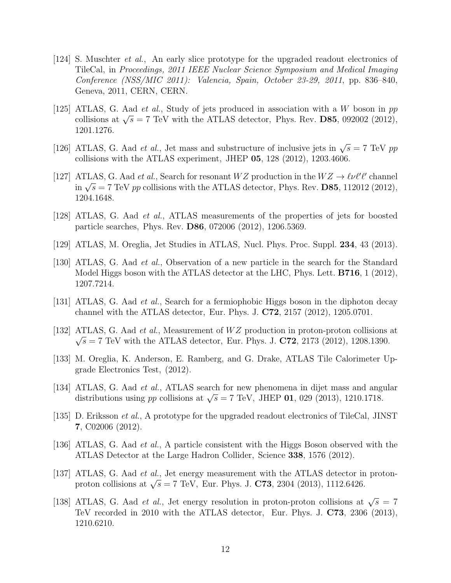- [124] S. Muschter et al., An early slice prototype for the upgraded readout electronics of TileCal, in Proceedings, 2011 IEEE Nuclear Science Symposium and Medical Imaging Conference (NSS/MIC 2011): Valencia, Spain, October 23-29, 2011, pp. 836–840, Geneva, 2011, CERN, CERN.
- [125] ATLAS, G. Aad *et al.*, Study of jets produced in association with a W boson in  $pp$ ATLAS, G. Aad *et al.*, Study of jets produced in association with a *W* boson in pp collisions at  $\sqrt{s} = 7$  TeV with the ATLAS detector, Phys. Rev. **D85**, 092002 (2012), 1201.1276.
- [126] ATLAS, G. Aad *et al.*, Jet mass and substructure of inclusive jets in  $\sqrt{s} = 7$  TeV pp collisions with the ATLAS experiment, JHEP  $05$ ,  $128$  (2012), 1203.4606.
- [127] ATLAS, G. Aad et al., Search for resonant  $WZ$  production in the  $WZ \to \ell\nu\ell'\ell'$  channel ATLAS, G. Aad *et al.*, Search for resonant *W* 2 production in the *W* 2  $\rightarrow$  *eve t* channer in  $\sqrt{s}$  = 7 TeV *pp* collisions with the ATLAS detector, Phys. Rev. **D85**, 112012 (2012), 1204.1648.
- [128] ATLAS, G. Aad et al., ATLAS measurements of the properties of jets for boosted particle searches, Phys. Rev. D86, 072006 (2012), 1206.5369.
- [129] ATLAS, M. Oreglia, Jet Studies in ATLAS, Nucl. Phys. Proc. Suppl. 234, 43 (2013).
- [130] ATLAS, G. Aad et al., Observation of a new particle in the search for the Standard Model Higgs boson with the ATLAS detector at the LHC, Phys. Lett. **B716**, 1 (2012), 1207.7214.
- [131] ATLAS, G. Aad *et al.*, Search for a fermiophobic Higgs boson in the diphoton decay channel with the ATLAS detector, Eur. Phys. J. C72, 2157 (2012), 1205.0701.
- [132] ATLAS, G. Aad *et al.*, Measurement of  $WZ$  production in proton-proton collisions at  $\sqrt{s} = 7$  TeV with the ATLAS detector, Eur. Phys. J. C72, 2173 (2012), 1208.1390.
- [133] M. Oreglia, K. Anderson, E. Ramberg, and G. Drake, ATLAS Tile Calorimeter Upgrade Electronics Test, (2012).
- [134] ATLAS, G. Aad et al., ATLAS search for new phenomena in dijet mass and angular ATLAS, G. Aad *et al.*, ATLAS search for hew phenomena in dijet mass and ang distributions using *pp* collisions at  $\sqrt{s} = 7$  TeV, JHEP 01, 029 (2013), 1210.1718.
- [135] D. Eriksson et al., A prototype for the upgraded readout electronics of TileCal, JINST 7, C02006 (2012).
- [136] ATLAS, G. Aad et al., A particle consistent with the Higgs Boson observed with the ATLAS Detector at the Large Hadron Collider, Science 338, 1576 (2012).
- [137] ATLAS, G. Aad *et al.*, Jet energy measurement with the ATLAS detector in proton-ATLAS, G. Aad *et al.*, set energy measurement with the ATLAS detector in proton collisions at  $\sqrt{s} = 7$  TeV, Eur. Phys. J. C73, 2304 (2013), 1112.6426.
- [138] ATLAS, G. Aad *et al.*, Jet energy resolution in proton-proton collisions at  $\sqrt{s} = 7$ TeV recorded in 2010 with the ATLAS detector, Eur. Phys. J. C73, 2306 (2013), 1210.6210.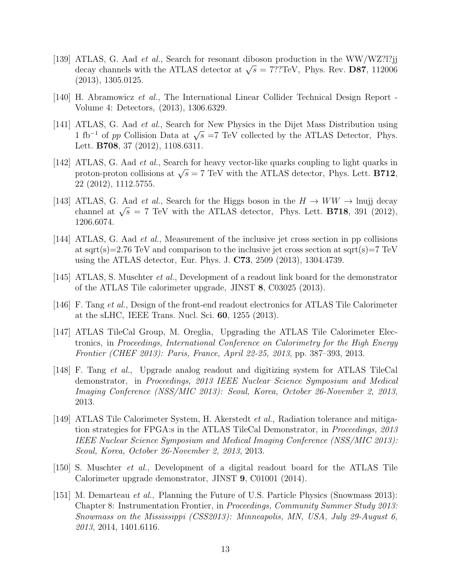- [139] ATLAS, G. Aad et al., Search for resonant diboson production in the WW/WZ?l?jj ATLAS, G. Aad *et al.*, Search for resonant diboson production in the WW/W2.11.jj<br>decay channels with the ATLAS detector at  $\sqrt{s} = 7$ ??TeV, Phys. Rev. **D87**, 112006 (2013), 1305.0125.
- [140] H. Abramowicz et al., The International Linear Collider Technical Design Report -Volume 4: Detectors, (2013), 1306.6329.
- [141] ATLAS, G. Aad *et al.*, Search for New Physics in the Dijet Mass Distribution using ATLAS, G. Aad *et al.*, Search for New Fhysics in the Dijet Mass Distribution using 1 fb<sup>-1</sup> of *pp* Collision Data at  $\sqrt{s}$  =7 TeV collected by the ATLAS Detector, Phys. Lett. B708, 37 (2012), 1108.6311.
- [142] ATLAS, G. Aad et al., Search for heavy vector-like quarks coupling to light quarks in ATLAS, G. Aad *et al.*, Search for heavy vector-like quarks coupling to light quarks in proton-proton collisions at  $\sqrt{s} = 7$  TeV with the ATLAS detector, Phys. Lett. **B712**, 22 (2012), 1112.5755.
- [143] ATLAS, G. Aad *et al.*, Search for the Higgs boson in the  $H \to WW \to \text{huij decay}$ channel at  $\sqrt{s} = 7$  TeV with the ATLAS detector, Phys. Lett. **B718**, 391 (2012), 1206.6074.
- [144] ATLAS, G. Aad et al., Measurement of the inclusive jet cross section in pp collisions at sqrt(s)=2.76 TeV and comparison to the inclusive jet cross section at sqrt(s)=7 TeV using the ATLAS detector, Eur. Phys. J. C73, 2509 (2013), 1304.4739.
- [145] ATLAS, S. Muschter et al., Development of a readout link board for the demonstrator of the ATLAS Tile calorimeter upgrade, JINST 8, C03025 (2013).
- [146] F. Tang et al., Design of the front-end readout electronics for ATLAS Tile Calorimeter at the sLHC, IEEE Trans. Nucl. Sci. 60, 1255 (2013).
- [147] ATLAS TileCal Group, M. Oreglia, Upgrading the ATLAS Tile Calorimeter Electronics, in Proceedings, International Conference on Calorimetry for the High Energy Frontier (CHEF 2013): Paris, France, April 22-25, 2013, pp. 387–393, 2013.
- [148] F. Tang et al., Upgrade analog readout and digitizing system for ATLAS TileCal demonstrator, in Proceedings, 2013 IEEE Nuclear Science Symposium and Medical Imaging Conference (NSS/MIC 2013): Seoul, Korea, October 26-November 2, 2013, 2013.
- [149] ATLAS Tile Calorimeter System, H. Akerstedt et al., Radiation tolerance and mitigation strategies for FPGA:s in the ATLAS TileCal Demonstrator, in *Proceedings*, 2013 IEEE Nuclear Science Symposium and Medical Imaging Conference (NSS/MIC 2013): Seoul, Korea, October 26-November 2, 2013, 2013.
- [150] S. Muschter et al., Development of a digital readout board for the ATLAS Tile Calorimeter upgrade demonstrator, JINST 9, C01001 (2014).
- [151] M. Demarteau *et al.*, Planning the Future of U.S. Particle Physics (Snowmass 2013): Chapter 8: Instrumentation Frontier, in Proceedings, Community Summer Study 2013: Snowmass on the Mississippi (CSS2013): Minneapolis, MN, USA, July 29-August 6, 2013, 2014, 1401.6116.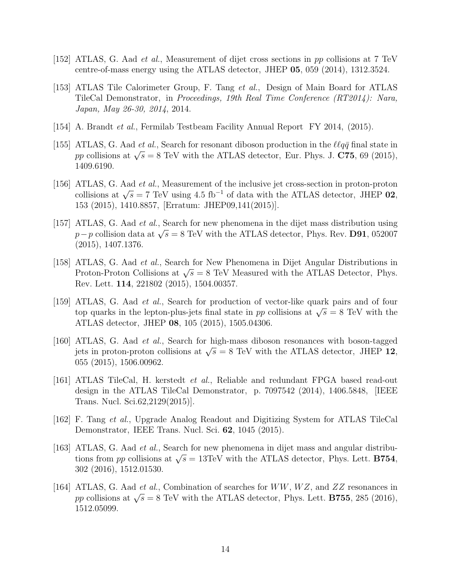- [152] ATLAS, G. Aad et al., Measurement of dijet cross sections in pp collisions at 7 TeV centre-of-mass energy using the ATLAS detector, JHEP 05, 059 (2014), 1312.3524.
- [153] ATLAS Tile Calorimeter Group, F. Tang et al., Design of Main Board for ATLAS TileCal Demonstrator, in Proceedings, 19th Real Time Conference (RT2014): Nara, Japan, May 26-30, 2014, 2014.
- [154] A. Brandt et al., Fermilab Testbeam Facility Annual Report FY 2014, (2015).
- [155] ATLAS, G. Aad et al., Search for resonant diboson production in the  $\ell \ell q \bar{q}$  final state in ATLAS, G. Aad *et al.*, Search for resonant diboson production in the *teqq* miar state in pp collisions at  $\sqrt{s} = 8$  TeV with the ATLAS detector, Eur. Phys. J. **C75**, 69 (2015), 1409.6190.
- [156] ATLAS, G. Aad et al., Measurement of the inclusive jet cross-section in proton-proton collisions at  $\sqrt{s} = 7$  TeV using 4.5 fb<sup>-1</sup> of data with the ATLAS detector, JHEP 02, 153 (2015), 1410.8857, [Erratum: JHEP09,141(2015)].
- [157] ATLAS, G. Aad et al., Search for new phenomena in the dijet mass distribution using ATLAS, G. Aad *et al.*, Search for hew phenomena in the dijet mass distribution using  $p-p$  collision data at  $\sqrt{s} = 8$  TeV with the ATLAS detector, Phys. Rev. **D91**, 052007 (2015), 1407.1376.
- [158] ATLAS, G. Aad et al., Search for New Phenomena in Dijet Angular Distributions in ATLAS, G. Aad *et al.*, Search for New 1 henomena in Dijet Angular Distributions in<br>Proton-Proton Collisions at  $\sqrt{s} = 8$  TeV Measured with the ATLAS Detector, Phys. Rev. Lett. 114, 221802 (2015), 1504.00357.
- [159] ATLAS, G. Aad et al., Search for production of vector-like quark pairs and of four ATLAS, G. Aad *et al.*, Search for production of vector-like quark pairs and of four top quarks in the lepton-plus-jets final state in pp collisions at  $\sqrt{s} = 8$  TeV with the ATLAS detector, JHEP 08, 105 (2015), 1505.04306.
- [160] ATLAS, G. Aad et al., Search for high-mass diboson resonances with boson-tagged ATLAS, G. Aad *et al.*, Search for figh-mass diboson resonances with boson-tagged jets in proton-proton collisions at  $\sqrt{s} = 8$  TeV with the ATLAS detector, JHEP 12, 055 (2015), 1506.00962.
- [161] ATLAS TileCal, H. kerstedt et al., Reliable and redundant FPGA based read-out design in the ATLAS TileCal Demonstrator, p. 7097542 (2014), 1406.5848, [IEEE Trans. Nucl. Sci.62,2129(2015)].
- [162] F. Tang et al., Upgrade Analog Readout and Digitizing System for ATLAS TileCal Demonstrator, IEEE Trans. Nucl. Sci. 62, 1045 (2015).
- [163] ATLAS, G. Aad et al., Search for new phenomena in dijet mass and angular distribu-ATLAS, G. Aad *et al.*, Search for hew phenomena in dijet mass and angular distribu-<br>tions from pp collisions at  $\sqrt{s} = 13 \text{TeV}$  with the ATLAS detector, Phys. Lett. **B754**, 302 (2016), 1512.01530.
- [164] ATLAS, G. Aad *et al.*, Combination of searches for  $WW, WZ$ , and  $ZZ$  resonances in ATLAS, G. Aad *et al.*, Combination of searches for *WW*, *WZ*, and ZZ resonances in pp collisions at  $\sqrt{s} = 8$  TeV with the ATLAS detector, Phys. Lett. **B755**, 285 (2016), 1512.05099.